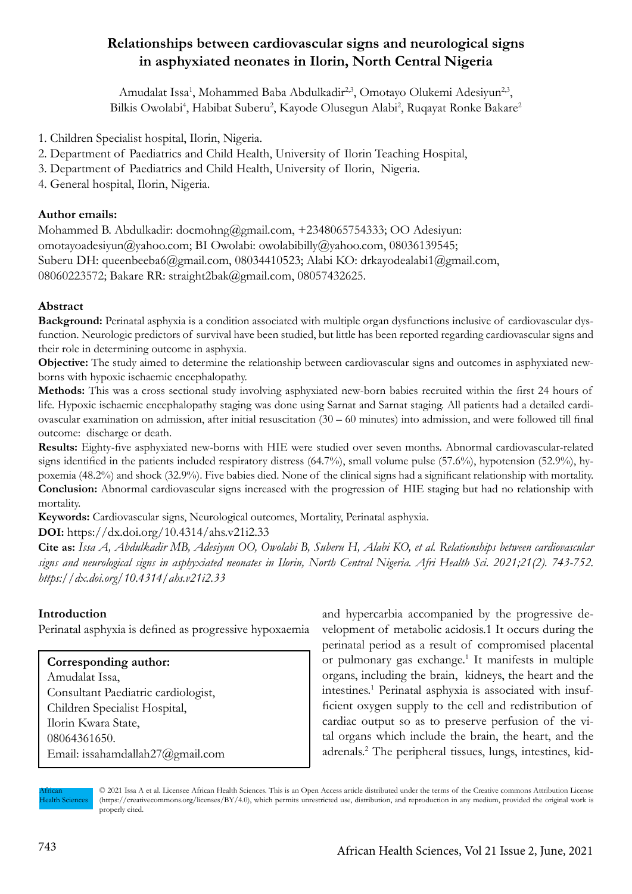# **Relationships between cardiovascular signs and neurological signs in asphyxiated neonates in Ilorin, North Central Nigeria**

Amudalat Issa<sup>1</sup>, Mohammed Baba Abdulkadir<sup>2,3</sup>, Omotayo Olukemi Adesiyun<sup>2,3</sup>, Bilkis Owolabi<sup>4</sup>, Habibat Suberu<sup>2</sup>, Kayode Olusegun Alabi<sup>2</sup>, Ruqayat Ronke Bakare<sup>2</sup>

- 1. Children Specialist hospital, Ilorin, Nigeria.
- 2. Department of Paediatrics and Child Health, University of Ilorin Teaching Hospital,
- 3. Department of Paediatrics and Child Health, University of Ilorin, Nigeria.

4. General hospital, Ilorin, Nigeria.

#### **Author emails:**

Mohammed B. Abdulkadir: docmohng@gmail.com, +2348065754333; OO Adesiyun: omotayoadesiyun@yahoo.com; BI Owolabi: owolabibilly@yahoo.com, 08036139545; Suberu DH: queenbeeba6@gmail.com, 08034410523; Alabi KO: drkayodealabi1@gmail.com, 08060223572; Bakare RR: straight2bak@gmail.com, 08057432625.

# **Abstract**

**Background:** Perinatal asphyxia is a condition associated with multiple organ dysfunctions inclusive of cardiovascular dysfunction. Neurologic predictors of survival have been studied, but little has been reported regarding cardiovascular signs and their role in determining outcome in asphyxia.

**Objective:** The study aimed to determine the relationship between cardiovascular signs and outcomes in asphyxiated newborns with hypoxic ischaemic encephalopathy.

**Methods:** This was a cross sectional study involving asphyxiated new-born babies recruited within the first 24 hours of life. Hypoxic ischaemic encephalopathy staging was done using Sarnat and Sarnat staging. All patients had a detailed cardiovascular examination on admission, after initial resuscitation (30 – 60 minutes) into admission, and were followed till final outcome: discharge or death.

**Results:** Eighty-five asphyxiated new-borns with HIE were studied over seven months. Abnormal cardiovascular-related signs identified in the patients included respiratory distress (64.7%), small volume pulse (57.6%), hypotension (52.9%), hypoxemia (48.2%) and shock (32.9%). Five babies died. None of the clinical signs had a significant relationship with mortality. **Conclusion:** Abnormal cardiovascular signs increased with the progression of HIE staging but had no relationship with mortality.

**Keywords:** Cardiovascular signs, Neurological outcomes, Mortality, Perinatal asphyxia.

**DOI:** https://dx.doi.org/10.4314/ahs.v21i2.33

**Cite as:** *Issa A, Abdulkadir MB, Adesiyun OO, Owolabi B, Suberu H, Alabi KO, et al. Relationships between cardiovascular signs and neurological signs in asphyxiated neonates in Ilorin, North Central Nigeria. Afri Health Sci. 2021;21(2). 743-752. https://dx.doi.org/10.4314/ahs.v21i2.33*

# **Introduction**

Perinatal asphyxia is defined as progressive hypoxaemia

# **Corresponding author:**

Amudalat Issa, Consultant Paediatric cardiologist, Children Specialist Hospital, Ilorin Kwara State, 08064361650. Email: issahamdallah27@gmail.com and hypercarbia accompanied by the progressive development of metabolic acidosis.1 It occurs during the perinatal period as a result of compromised placental or pulmonary gas exchange.<sup>1</sup> It manifests in multiple organs, including the brain, kidneys, the heart and the intestines.1 Perinatal asphyxia is associated with insufficient oxygen supply to the cell and redistribution of cardiac output so as to preserve perfusion of the vital organs which include the brain, the heart, and the adrenals.2 The peripheral tissues, lungs, intestines, kid-

African Health Sciences © 2021 Issa A et al. Licensee African Health Sciences. This is an Open Access article distributed under the terms of the Creative commons Attribution License (https://creativecommons.org/licenses/BY/4.0), which permits unrestricted use, distribution, and reproduction in any medium, provided the original work is properly cited.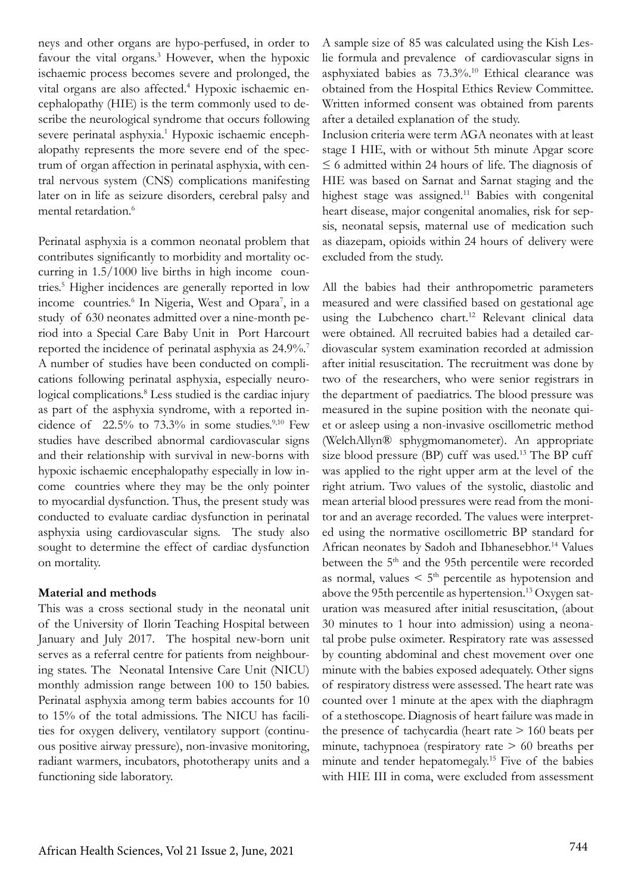neys and other organs are hypo-perfused, in order to favour the vital organs.<sup>3</sup> However, when the hypoxic ischaemic process becomes severe and prolonged, the vital organs are also affected.<sup>4</sup> Hypoxic ischaemic encephalopathy (HIE) is the term commonly used to describe the neurological syndrome that occurs following severe perinatal asphyxia.<sup>1</sup> Hypoxic ischaemic encephalopathy represents the more severe end of the spectrum of organ affection in perinatal asphyxia, with central nervous system (CNS) complications manifesting later on in life as seizure disorders, cerebral palsy and mental retardation.<sup>6</sup>

Perinatal asphyxia is a common neonatal problem that contributes significantly to morbidity and mortality occurring in 1.5/1000 live births in high income countries.5 Higher incidences are generally reported in low income countries.<sup>6</sup> In Nigeria, West and Opara<sup>7</sup>, in a study of 630 neonates admitted over a nine-month period into a Special Care Baby Unit in Port Harcourt reported the incidence of perinatal asphyxia as 24.9%.<sup>7</sup> A number of studies have been conducted on complications following perinatal asphyxia, especially neurological complications.8 Less studied is the cardiac injury as part of the asphyxia syndrome, with a reported incidence of  $22.5\%$  to  $73.3\%$  in some studies.<sup>9,10</sup> Few studies have described abnormal cardiovascular signs and their relationship with survival in new-borns with hypoxic ischaemic encephalopathy especially in low income countries where they may be the only pointer to myocardial dysfunction. Thus, the present study was conducted to evaluate cardiac dysfunction in perinatal asphyxia using cardiovascular signs. The study also sought to determine the effect of cardiac dysfunction on mortality.

#### **Material and methods**

This was a cross sectional study in the neonatal unit of the University of Ilorin Teaching Hospital between January and July 2017. The hospital new-born unit serves as a referral centre for patients from neighbouring states. The Neonatal Intensive Care Unit (NICU) monthly admission range between 100 to 150 babies. Perinatal asphyxia among term babies accounts for 10 to 15% of the total admissions. The NICU has facilities for oxygen delivery, ventilatory support (continuous positive airway pressure), non-invasive monitoring, radiant warmers, incubators, phototherapy units and a functioning side laboratory.

A sample size of 85 was calculated using the Kish Leslie formula and prevalence of cardiovascular signs in asphyxiated babies as 73.3%.10 Ethical clearance was obtained from the Hospital Ethics Review Committee. Written informed consent was obtained from parents after a detailed explanation of the study.

Inclusion criteria were term AGA neonates with at least stage I HIE, with or without 5th minute Apgar score  $\leq$  6 admitted within 24 hours of life. The diagnosis of HIE was based on Sarnat and Sarnat staging and the highest stage was assigned.<sup>11</sup> Babies with congenital heart disease, major congenital anomalies, risk for sepsis, neonatal sepsis, maternal use of medication such as diazepam, opioids within 24 hours of delivery were excluded from the study.

All the babies had their anthropometric parameters measured and were classified based on gestational age using the Lubchenco chart.<sup>12</sup> Relevant clinical data were obtained. All recruited babies had a detailed cardiovascular system examination recorded at admission after initial resuscitation. The recruitment was done by two of the researchers, who were senior registrars in the department of paediatrics. The blood pressure was measured in the supine position with the neonate quiet or asleep using a non-invasive oscillometric method (WelchAllyn® sphygmomanometer). An appropriate size blood pressure (BP) cuff was used.<sup>13</sup> The BP cuff was applied to the right upper arm at the level of the right atrium. Two values of the systolic, diastolic and mean arterial blood pressures were read from the monitor and an average recorded. The values were interpreted using the normative oscillometric BP standard for African neonates by Sadoh and Ibhanesebhor.<sup>14</sup> Values between the 5<sup>th</sup> and the 95th percentile were recorded as normal, values  $\leq 5$ <sup>th</sup> percentile as hypotension and above the 95th percentile as hypertension.<sup>13</sup> Oxygen saturation was measured after initial resuscitation, (about 30 minutes to 1 hour into admission) using a neonatal probe pulse oximeter. Respiratory rate was assessed by counting abdominal and chest movement over one minute with the babies exposed adequately. Other signs of respiratory distress were assessed. The heart rate was counted over 1 minute at the apex with the diaphragm of a stethoscope. Diagnosis of heart failure was made in the presence of tachycardia (heart rate > 160 beats per minute, tachypnoea (respiratory rate > 60 breaths per minute and tender hepatomegaly.15 Five of the babies with HIE III in coma, were excluded from assessment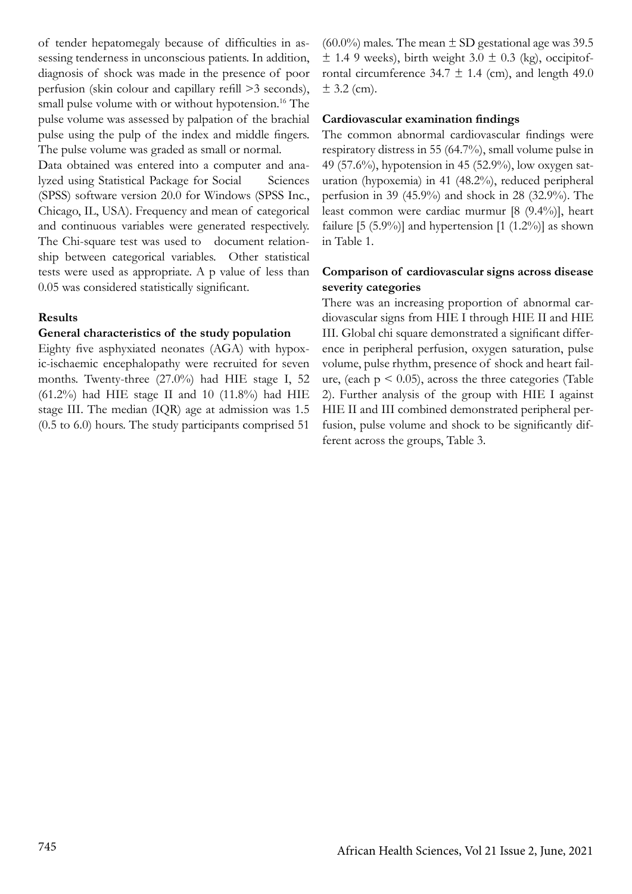of tender hepatomegaly because of difficulties in assessing tenderness in unconscious patients. In addition, diagnosis of shock was made in the presence of poor perfusion (skin colour and capillary refill >3 seconds), small pulse volume with or without hypotension.<sup>16</sup> The pulse volume was assessed by palpation of the brachial pulse using the pulp of the index and middle fingers. The pulse volume was graded as small or normal.

Data obtained was entered into a computer and analyzed using Statistical Package for Social Sciences (SPSS) software version 20.0 for Windows (SPSS Inc., Chicago, IL, USA). Frequency and mean of categorical and continuous variables were generated respectively. The Chi-square test was used to document relationship between categorical variables. Other statistical tests were used as appropriate. A p value of less than 0.05 was considered statistically significant.

#### **Results**

#### **General characteristics of the study population**

Eighty five asphyxiated neonates (AGA) with hypoxic-ischaemic encephalopathy were recruited for seven months. Twenty-three (27.0%) had HIE stage I, 52 (61.2%) had HIE stage II and 10 (11.8%) had HIE stage III. The median (IQR) age at admission was 1.5 (0.5 to 6.0) hours. The study participants comprised 51

 $(60.0\%)$  males. The mean  $\pm$  SD gestational age was 39.5  $\pm$  1.4 9 weeks), birth weight 3.0  $\pm$  0.3 (kg), occipitofrontal circumference  $34.7 \pm 1.4$  (cm), and length 49.0  $± 3.2$  (cm).

#### **Cardiovascular examination findings**

The common abnormal cardiovascular findings were respiratory distress in 55 (64.7%), small volume pulse in 49 (57.6%), hypotension in 45 (52.9%), low oxygen saturation (hypoxemia) in 41 (48.2%), reduced peripheral perfusion in 39 (45.9%) and shock in 28 (32.9%). The least common were cardiac murmur [8 (9.4%)], heart failure [5  $(5.9\%)$ ] and hypertension [1  $(1.2\%)$ ] as shown in Table 1.

#### **Comparison of cardiovascular signs across disease severity categories**

There was an increasing proportion of abnormal cardiovascular signs from HIE I through HIE II and HIE III. Global chi square demonstrated a significant difference in peripheral perfusion, oxygen saturation, pulse volume, pulse rhythm, presence of shock and heart failure, (each  $p \le 0.05$ ), across the three categories (Table 2). Further analysis of the group with HIE I against HIE II and III combined demonstrated peripheral perfusion, pulse volume and shock to be significantly different across the groups, Table 3.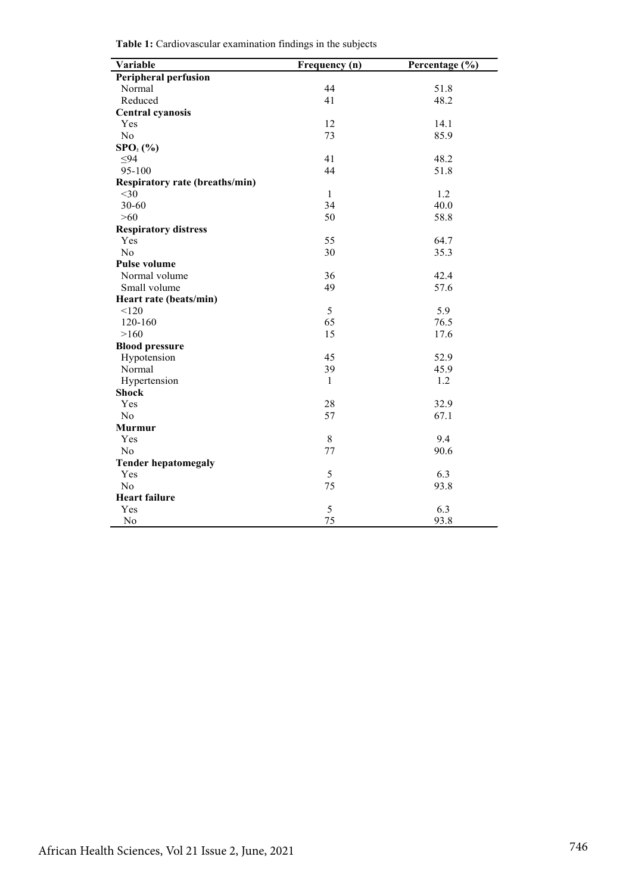|  |  | Table 1: Cardiovascular examination findings in the subjects |  |  |  |
|--|--|--------------------------------------------------------------|--|--|--|
|--|--|--------------------------------------------------------------|--|--|--|

| Variable                              | Frequency (n) | Percentage (%) |
|---------------------------------------|---------------|----------------|
| <b>Peripheral perfusion</b>           |               |                |
| Normal                                | 44            | 51.8           |
| Reduced                               | 41            | 48.2           |
| <b>Central cyanosis</b>               |               |                |
| Yes                                   | 12            | 14.1           |
| N <sub>0</sub>                        | 73            | 85.9           |
| $SPO2(\%)$                            |               |                |
| $\leq 94$                             | 41            | 48.2           |
| 95-100                                | 44            | 51.8           |
| <b>Respiratory rate (breaths/min)</b> |               |                |
| $<$ 30                                | $\mathbf{1}$  | 1.2            |
| 30-60                                 | 34            | 40.0           |
| $>60$                                 | 50            | 58.8           |
| <b>Respiratory distress</b>           |               |                |
| Yes                                   | 55            | 64.7           |
| N <sub>o</sub>                        | 30            | 35.3           |
| <b>Pulse volume</b>                   |               |                |
| Normal volume                         | 36            | 42.4           |
| Small volume                          | 49            | 57.6           |
| Heart rate (beats/min)                |               |                |
| < 120                                 | 5             | 5.9            |
| 120-160                               | 65            | 76.5           |
| >160                                  | 15            | 17.6           |
| <b>Blood pressure</b>                 |               |                |
| Hypotension                           | 45            | 52.9           |
| Normal                                | 39            | 45.9           |
| Hypertension                          | 1             | 1.2            |
| <b>Shock</b>                          |               |                |
| Yes                                   | 28            | 32.9           |
| No                                    | 57            | 67.1           |
| <b>Murmur</b>                         |               |                |
| Yes                                   | 8             | 9.4            |
| N <sub>0</sub>                        | 77            | 90.6           |
| <b>Tender hepatomegaly</b>            |               |                |
| Yes                                   | 5             | 6.3            |
| N <sub>0</sub>                        | 75            | 93.8           |
| <b>Heart failure</b>                  |               |                |
| Yes                                   | 5             | 6.3            |
| No                                    | 75            | 93.8           |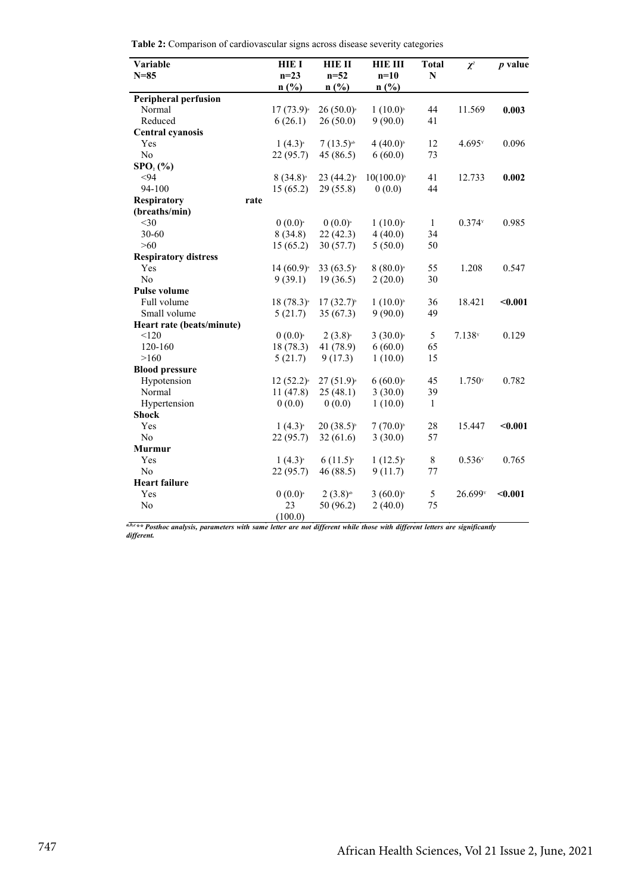| Variable                    | <b>HIE I</b>   | <b>HIE II</b>           | <b>HIE III</b>         | <b>Total</b> | $\chi^2$             | $p$ value |
|-----------------------------|----------------|-------------------------|------------------------|--------------|----------------------|-----------|
| $N=85$                      | $n=23$         | $n=52$                  | $n=10$                 | N            |                      |           |
|                             | n(%)           | n(%)                    | n(%)                   |              |                      |           |
| <b>Peripheral perfusion</b> |                |                         |                        |              |                      |           |
| Normal                      | $17(73.9)^{3}$ | $26(50.0)^{3}$          | $1(10.0)^{b}$          | 44           | 11.569               | 0.003     |
| Reduced                     | 6(26.1)        | 26(50.0)                | 9(90.0)                | 41           |                      |           |
| <b>Central cyanosis</b>     |                |                         |                        |              |                      |           |
| Yes                         | $1(4.3)^{a}$   | $7(13.5)^{ab}$          | $4(40.0)^{5}$          | 12           | $4.695$ <sup>x</sup> | 0.096     |
| No                          | 22(95.7)       | 45(86.5)                | 6(60.0)                | 73           |                      |           |
| $SPO2(\%)$                  |                |                         |                        |              |                      |           |
| $94$                        | $8(34.8)^{3}$  | $23(44.2)^{a}$          | $10(100.0)^{5}$        | 41           | 12.733               | 0.002     |
| 94-100                      | 15(65.2)       | 29 (55.8)               | 0(0.0)                 | 44           |                      |           |
| <b>Respiratory</b><br>rate  |                |                         |                        |              |                      |           |
| (breaths/min)               |                |                         |                        |              |                      |           |
| $<$ 30                      | $0(0.0)^{n}$   | $0(0.0)^{n}$            | $1(10.0)^a$            | $\mathbf{1}$ | $0.374$ <sup>x</sup> | 0.985     |
| 30-60                       | 8(34.8)        | 22(42.3)                | 4(40.0)                | 34           |                      |           |
| $>60$                       | 15(65.2)       | 30(57.7)                | 5(50.0)                | 50           |                      |           |
| <b>Respiratory distress</b> |                |                         |                        |              |                      |           |
| Yes                         | $14(60.9)^{3}$ | 33 $(63.5)^{a}$         | $8(80.0)^{3}$          | 55           | 1.208                | 0.547     |
| No                          | 9(39.1)        | 19(36.5)                | 2(20.0)                | 30           |                      |           |
| <b>Pulse volume</b>         |                |                         |                        |              |                      |           |
| Full volume                 | $18(78.3)^{3}$ | $17(32.7)$ <sup>b</sup> | $1(10.0)^{b}$          | 36           | 18.421               | $0.001$   |
| Small volume                | 5(21.7)        | 35(67.3)                | 9(90.0)                | 49           |                      |           |
| Heart rate (beats/minute)   |                |                         |                        |              |                      |           |
| < 120                       | $0(0.0)^{a}$   | $2(3.8)^{a}$            | $3(30.0)$ <sup>a</sup> | 5            | $7.138$ <sup>y</sup> | 0.129     |
| 120-160                     | 18 (78.3)      | 41 (78.9)               | 6(60.0)                | 65           |                      |           |
| >160                        | 5(21.7)        | 9(17.3)                 | 1(10.0)                | 15           |                      |           |
| <b>Blood pressure</b>       |                |                         |                        |              |                      |           |
| Hypotension                 | $12(52.2)^{a}$ | $27(51.9)^{a}$          | $6(60.0)$ <sup>a</sup> | 45           | $1.750$ <sup>x</sup> | 0.782     |
| Normal                      | 11(47.8)       | 25(48.1)                | 3(30.0)                | 39           |                      |           |
| Hypertension                | 0(0.0)         | 0(0.0)                  | 1(10.0)                | $\mathbf{1}$ |                      |           |
| <b>Shock</b>                |                |                         |                        |              |                      |           |
| Yes                         | $1(4.3)^{a}$   | $20(38.5)$ <sup>b</sup> | $7(70.0)^{5}$          | 28           | 15.447               | $0.001$   |
| No                          | 22(95.7)       | 32(61.6)                | 3(30.0)                | 57           |                      |           |
| <b>Murmur</b>               |                |                         |                        |              |                      |           |
| Yes                         | $1(4.3)^{a}$   | $6(11.5)^{a}$           | $1(12.5)^{a}$          | 8            | 0.536Y               | 0.765     |
| No                          | 22 (95.7)      | 46(88.5)                | 9(11.7)                | 77           |                      |           |
| <b>Heart failure</b>        |                |                         |                        |              |                      |           |
| Yes                         | $0(0.0)^{n}$   | $2(3.8)$ <sup>ab</sup>  | $3(60.0)$ <sup>b</sup> | 5            | 26.699 <sup>y</sup>  | $0.001$   |
| No                          | 23             | 50 (96.2)               | 2(40.0)                | 75           |                      |           |
|                             | (100.0)        |                         |                        |              |                      |           |

*a,b,c\*\* Posthoc analysis, parameters with same letter are not different while those with different letters are significantly different.*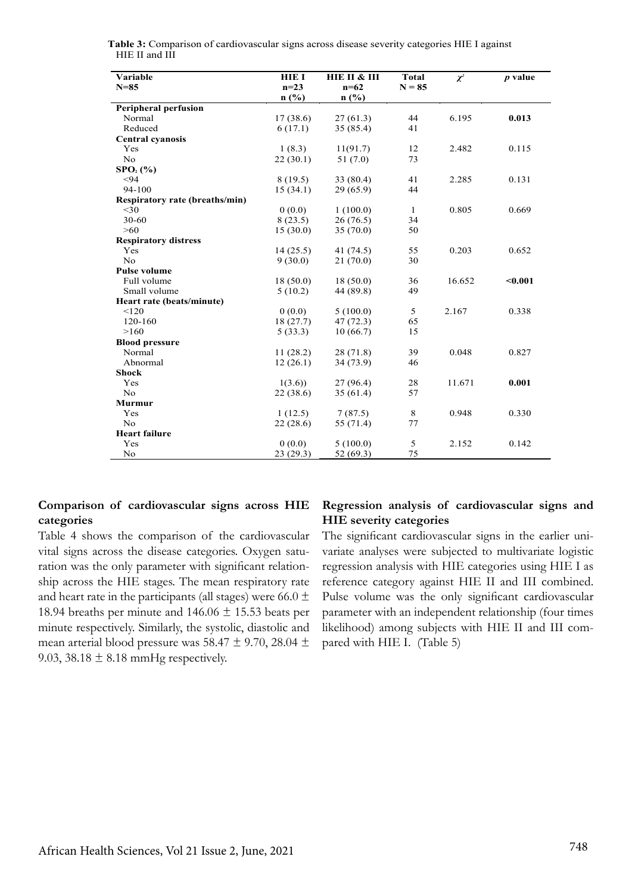| Variable                              | HIE I    | HIE II & III | <b>Total</b> | $\chi^2$ | $p$ value |
|---------------------------------------|----------|--------------|--------------|----------|-----------|
| $N = 85$                              | $n=23$   | $n=62$       | $N = 85$     |          |           |
|                                       | n(%)     | n(%)         |              |          |           |
| <b>Peripheral perfusion</b>           |          |              |              |          |           |
| Normal                                | 17(38.6) | 27(61.3)     | 44           | 6.195    | 0.013     |
| Reduced                               | 6(17.1)  | 35 (85.4)    | 41           |          |           |
| <b>Central cyanosis</b>               |          |              |              |          |           |
| Yes                                   | 1(8.3)   | 11(91.7)     | 12           | 2.482    | 0.115     |
| No                                    | 22(30.1) | 51(7.0)      | 73           |          |           |
| $SPO2(\%)$                            |          |              |              |          |           |
| < 94                                  | 8(19.5)  | 33(80.4)     | 41           | 2.285    | 0.131     |
| 94-100                                | 15(34.1) | 29(65.9)     | 44           |          |           |
| <b>Respiratory rate (breaths/min)</b> |          |              |              |          |           |
| <30                                   | 0(0.0)   | 1(100.0)     | $\mathbf{1}$ | 0.805    | 0.669     |
| 30-60                                 | 8(23.5)  | 26(76.5)     | 34           |          |           |
| $>60$                                 | 15(30.0) | 35(70.0)     | 50           |          |           |
| <b>Respiratory distress</b>           |          |              |              |          |           |
| Yes                                   | 14(25.5) | 41 (74.5)    | 55           | 0.203    | 0.652     |
| No                                    | 9(30.0)  | 21(70.0)     | 30           |          |           |
| <b>Pulse volume</b>                   |          |              |              |          |           |
| Full volume                           | 18(50.0) | 18(50.0)     | 36           | 16.652   | < 0.001   |
| Small volume                          | 5(10.2)  | 44 (89.8)    | 49           |          |           |
| Heart rate (beats/minute)             |          |              |              |          |           |
| < 120                                 | 0(0.0)   | 5(100.0)     | 5            | 2.167    | 0.338     |
| 120-160                               | 18(27.7) | 47(72.3)     | 65           |          |           |
| >160                                  | 5(33.3)  | 10(66.7)     | 15           |          |           |
| <b>Blood pressure</b>                 |          |              |              |          |           |
| Normal                                | 11(28.2) | 28(71.8)     | 39           | 0.048    | 0.827     |
| Abnormal                              | 12(26.1) | 34(73.9)     | 46           |          |           |
| <b>Shock</b>                          |          |              |              |          |           |
| Yes                                   | 1(3.6)   | 27(96.4)     | 28           | 11.671   | 0.001     |
| <b>No</b>                             | 22(38.6) | 35(61.4)     | 57           |          |           |
| <b>Murmur</b>                         |          |              |              |          |           |
| Yes                                   | 1(12.5)  | 7(87.5)      | 8            | 0.948    | 0.330     |
| No                                    | 22(28.6) | 55 (71.4)    | 77           |          |           |
| <b>Heart failure</b>                  |          |              |              |          |           |
| Yes                                   | 0(0.0)   | 5(100.0)     | 5            | 2.152    | 0.142     |
| No                                    | 23(29.3) | 52(69.3)     | 75           |          |           |

**Table 3:** Comparison of cardiovascular signs across disease severity categories HIE I against HIE II and III

#### **Comparison of cardiovascular signs across HIE categories**

Table 4 shows the comparison of the cardiovascular vital signs across the disease categories. Oxygen saturation was the only parameter with significant relationship across the HIE stages. The mean respiratory rate and heart rate in the participants (all stages) were 66.0  $\pm$ 18.94 breaths per minute and  $146.06 \pm 15.53$  beats per minute respectively. Similarly, the systolic, diastolic and mean arterial blood pressure was 58.47  $\pm$  9.70, 28.04  $\pm$ 9.03, 38.18  $\pm$  8.18 mmHg respectively.

# **Regression analysis of cardiovascular signs and HIE severity categories**

The significant cardiovascular signs in the earlier univariate analyses were subjected to multivariate logistic regression analysis with HIE categories using HIE I as reference category against HIE II and III combined. Pulse volume was the only significant cardiovascular parameter with an independent relationship (four times likelihood) among subjects with HIE II and III compared with HIE I. (Table 5)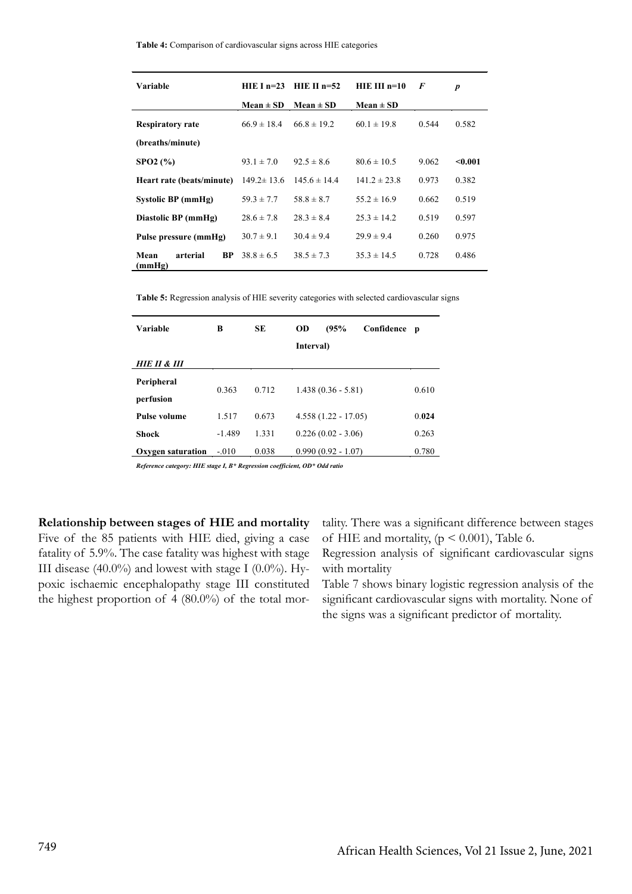|  |  |  |  |  | Table 4: Comparison of cardiovascular signs across HIE categories |
|--|--|--|--|--|-------------------------------------------------------------------|
|  |  |  |  |  |                                                                   |

| Variable                                | $HIEI n=23$      | HIE II $n=52$    | $HIE III n=10$   | F     | $\boldsymbol{p}$ |
|-----------------------------------------|------------------|------------------|------------------|-------|------------------|
|                                         | $Mean \pm SD$    | Mean $\pm$ SD    | $Mean \pm SD$    |       |                  |
| <b>Respiratory rate</b>                 | $66.9 \pm 18.4$  | $66.8 \pm 19.2$  | $60.1 \pm 19.8$  | 0.544 | 0.582            |
| (breaths/minute)                        |                  |                  |                  |       |                  |
| SPO2 (%)                                | $93.1 \pm 7.0$   | $92.5 \pm 8.6$   | $80.6 \pm 10.5$  | 9.062 | < 0.001          |
| Heart rate (beats/minute)               | $149.2 \pm 13.6$ | $145.6 \pm 14.4$ | $141.2 \pm 23.8$ | 0.973 | 0.382            |
| Systolic BP (mmHg)                      | $59.3 \pm 7.7$   | $58.8 \pm 8.7$   | $55.2 \pm 16.9$  | 0.662 | 0.519            |
| Diastolic BP (mmHg)                     | $28.6 \pm 7.8$   | $28.3 \pm 8.4$   | $25.3 \pm 14.2$  | 0.519 | 0.597            |
| Pulse pressure (mmHg)                   | $30.7 \pm 9.1$   | $30.4 \pm 9.4$   | $29.9 \pm 9.4$   | 0.260 | 0.975            |
| arterial<br>Mean<br><b>BP</b><br>(mmHg) | $38.8 \pm 6.5$   | $38.5 \pm 7.3$   | $35.3 \pm 14.5$  | 0.728 | 0.486            |

**Table 5:** Regression analysis of HIE severity categories with selected cardiovascular signs

| Variable                | в        | SЕ    | (95%<br>OD<br>Confidence<br>Interval) | $\mathbf{p}$ |
|-------------------------|----------|-------|---------------------------------------|--------------|
| HIE II & III            |          |       |                                       |              |
| Peripheral<br>perfusion | 0.363    | 0.712 | $1.438(0.36 - 5.81)$                  | 0.610        |
| <b>Pulse volume</b>     | 1.517    | 0.673 | $4.558(1.22 - 17.05)$                 | 0.024        |
| <b>Shock</b>            | $-1.489$ | 1.331 | $0.226(0.02 - 3.06)$                  | 0.263        |
| Oxygen saturation       | $-.010$  | 0.038 | $0.990(0.92 - 1.07)$                  | 0.780        |

*Reference category: HIE stage I, B\* Regression coefficient, OD\* Odd ratio*

**Relationship between stages of HIE and mortality** Five of the 85 patients with HIE died, giving a case fatality of 5.9%. The case fatality was highest with stage III disease (40.0%) and lowest with stage I (0.0%). Hypoxic ischaemic encephalopathy stage III constituted the highest proportion of 4 (80.0%) of the total mor-

 $\overline{\phantom{a}}$ 

tality. There was a significant difference between stages of HIE and mortality,  $(p < 0.001)$ , Table 6.

Regression analysis of significant cardiovascular signs with mortality

Table 7 shows binary logistic regression analysis of the significant cardiovascular signs with mortality. None of the signs was a significant predictor of mortality.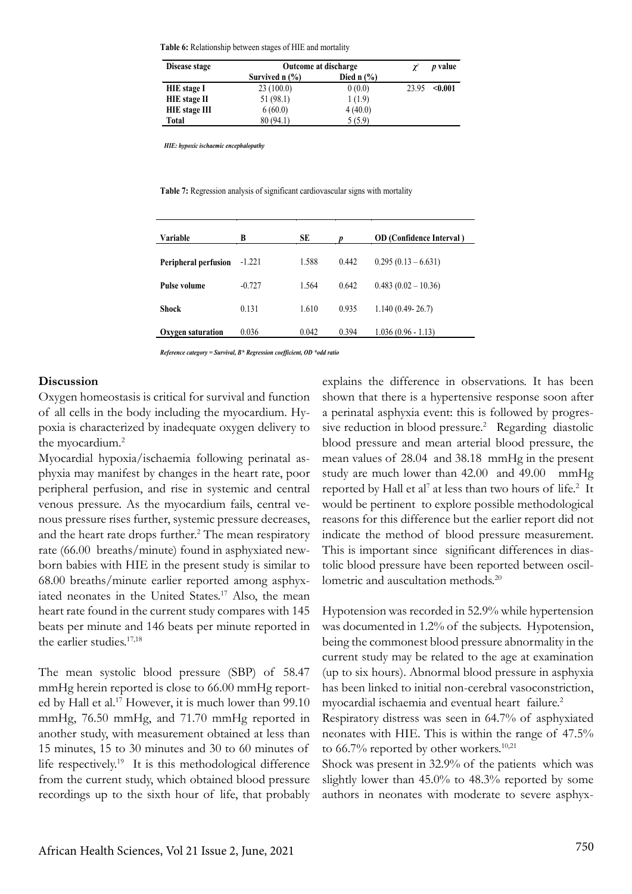**Table 6:** Relationship between stages of HIE and mortality

| Disease stage        | <b>Outcome at discharge</b>             | $\chi^2$       | <i>p</i> value |         |
|----------------------|-----------------------------------------|----------------|----------------|---------|
|                      | Survived $n$ $\left(\frac{9}{6}\right)$ | Died n $(\% )$ |                |         |
| <b>HIE</b> stage I   | 23(100.0)                               | 0(0.0)         | 23.95          | < 0.001 |
| <b>HIE</b> stage II  | 51 (98.1)                               | 1(1.9)         |                |         |
| <b>HIE</b> stage III | 6(60.0)                                 | 4(40.0)        |                |         |
| Total                | 80 (94.1)                               | 5(5.9)         |                |         |

 *HIE: hypoxic ischaemic encephalopathy*

**Table 7:** Regression analysis of significant cardiovascular signs with mortality

| Variable                    | B        | SE    |       | <b>OD</b> (Confidence Interval) |
|-----------------------------|----------|-------|-------|---------------------------------|
| <b>Peripheral perfusion</b> | $-1.221$ | 1.588 | 0.442 | $0.295(0.13-6.631)$             |
| <b>Pulse volume</b>         | $-0.727$ | 1.564 | 0.642 | $0.483(0.02 - 10.36)$           |
| <b>Shock</b>                | 0.131    | 1.610 | 0.935 | $1.140(0.49 - 26.7)$            |
| Oxygen saturation           | 0.036    | 0.042 | 0.394 | $1.036(0.96 - 1.13)$            |

*Reference category = Survival, B\* Regression coefficient, OD \*odd ratio*

#### **Discussion**

Oxygen homeostasis is critical for survival and function of all cells in the body including the myocardium. Hypoxia is characterized by inadequate oxygen delivery to the myocardium.2

Myocardial hypoxia/ischaemia following perinatal asphyxia may manifest by changes in the heart rate, poor peripheral perfusion, and rise in systemic and central venous pressure. As the myocardium fails, central venous pressure rises further, systemic pressure decreases, and the heart rate drops further.<sup>2</sup> The mean respiratory rate (66.00 breaths/minute) found in asphyxiated newborn babies with HIE in the present study is similar to 68.00 breaths/minute earlier reported among asphyxiated neonates in the United States.<sup>17</sup> Also, the mean heart rate found in the current study compares with 145 beats per minute and 146 beats per minute reported in the earlier studies. $17,18$ 

The mean systolic blood pressure (SBP) of 58.47 mmHg herein reported is close to 66.00 mmHg reported by Hall et al.<sup>17</sup> However, it is much lower than 99.10 mmHg, 76.50 mmHg, and 71.70 mmHg reported in another study, with measurement obtained at less than 15 minutes, 15 to 30 minutes and 30 to 60 minutes of life respectively.<sup>19</sup> It is this methodological difference from the current study, which obtained blood pressure recordings up to the sixth hour of life, that probably

explains the difference in observations. It has been shown that there is a hypertensive response soon after a perinatal asphyxia event: this is followed by progressive reduction in blood pressure.<sup>2</sup> Regarding diastolic blood pressure and mean arterial blood pressure, the mean values of 28.04 and 38.18 mmHg in the present study are much lower than 42.00 and 49.00 mmHg reported by Hall et al<sup>7</sup> at less than two hours of life.<sup>2</sup> It would be pertinent to explore possible methodological reasons for this difference but the earlier report did not indicate the method of blood pressure measurement. This is important since significant differences in diastolic blood pressure have been reported between oscillometric and auscultation methods.<sup>20</sup>

Hypotension was recorded in 52.9% while hypertension was documented in 1.2% of the subjects. Hypotension, being the commonest blood pressure abnormality in the current study may be related to the age at examination (up to six hours). Abnormal blood pressure in asphyxia has been linked to initial non-cerebral vasoconstriction, myocardial ischaemia and eventual heart failure.2

Respiratory distress was seen in 64.7% of asphyxiated neonates with HIE. This is within the range of 47.5% to  $66.7\%$  reported by other workers.<sup>10,21</sup>

Shock was present in 32.9% of the patients which was slightly lower than 45.0% to 48.3% reported by some authors in neonates with moderate to severe asphyx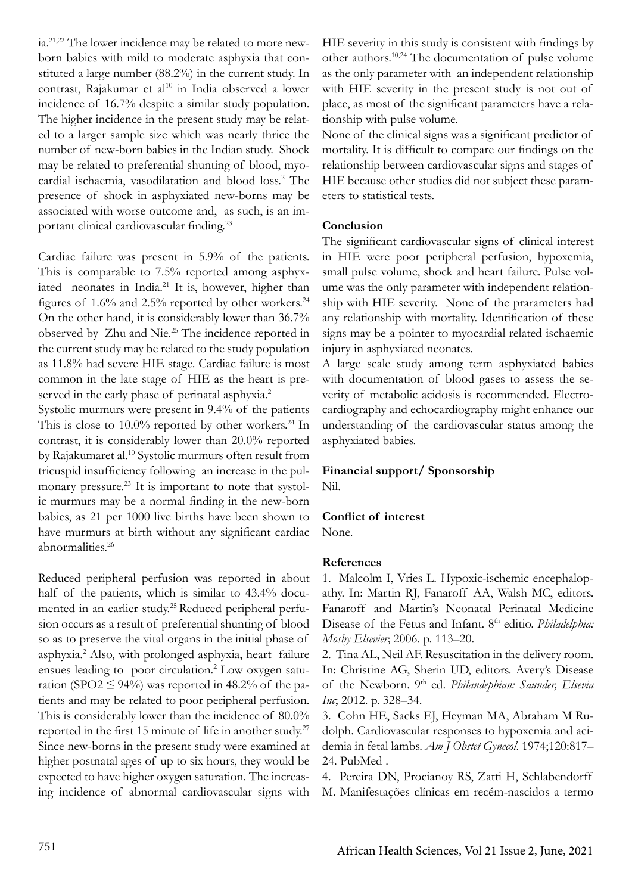ia.21,22 The lower incidence may be related to more newborn babies with mild to moderate asphyxia that constituted a large number (88.2%) in the current study. In contrast, Rajakumar et al<sup>10</sup> in India observed a lower incidence of 16.7% despite a similar study population. The higher incidence in the present study may be related to a larger sample size which was nearly thrice the number of new-born babies in the Indian study. Shock may be related to preferential shunting of blood, myocardial ischaemia, vasodilatation and blood loss.<sup>2</sup> The presence of shock in asphyxiated new-borns may be associated with worse outcome and, as such, is an important clinical cardiovascular finding.<sup>23</sup>

Cardiac failure was present in 5.9% of the patients. This is comparable to 7.5% reported among asphyxiated neonates in India.<sup>21</sup> It is, however, higher than figures of  $1.6\%$  and  $2.5\%$  reported by other workers.<sup>24</sup> On the other hand, it is considerably lower than 36.7% observed by Zhu and Nie.25 The incidence reported in the current study may be related to the study population as 11.8% had severe HIE stage. Cardiac failure is most common in the late stage of HIE as the heart is preserved in the early phase of perinatal asphyxia.<sup>2</sup>

Systolic murmurs were present in 9.4% of the patients This is close to  $10.0\%$  reported by other workers.<sup>24</sup> In contrast, it is considerably lower than 20.0% reported by Rajakumaret al.10 Systolic murmurs often result from tricuspid insufficiency following an increase in the pulmonary pressure.<sup>23</sup> It is important to note that systolic murmurs may be a normal finding in the new-born babies, as 21 per 1000 live births have been shown to have murmurs at birth without any significant cardiac abnormalities.26

Reduced peripheral perfusion was reported in about half of the patients, which is similar to 43.4% documented in an earlier study.25 Reduced peripheral perfusion occurs as a result of preferential shunting of blood so as to preserve the vital organs in the initial phase of asphyxia.2 Also, with prolonged asphyxia, heart failure ensues leading to poor circulation.<sup>2</sup> Low oxygen saturation (SPO2  $\leq$  94%) was reported in 48.2% of the patients and may be related to poor peripheral perfusion. This is considerably lower than the incidence of 80.0% reported in the first 15 minute of life in another study.<sup>27</sup> Since new-borns in the present study were examined at higher postnatal ages of up to six hours, they would be expected to have higher oxygen saturation. The increasing incidence of abnormal cardiovascular signs with

HIE severity in this study is consistent with findings by other authors.10,24 The documentation of pulse volume as the only parameter with an independent relationship with HIE severity in the present study is not out of place, as most of the significant parameters have a relationship with pulse volume.

None of the clinical signs was a significant predictor of mortality. It is difficult to compare our findings on the relationship between cardiovascular signs and stages of HIE because other studies did not subject these parameters to statistical tests.

#### **Conclusion**

The significant cardiovascular signs of clinical interest in HIE were poor peripheral perfusion, hypoxemia, small pulse volume, shock and heart failure. Pulse volume was the only parameter with independent relationship with HIE severity. None of the prarameters had any relationship with mortality. Identification of these signs may be a pointer to myocardial related ischaemic injury in asphyxiated neonates.

A large scale study among term asphyxiated babies with documentation of blood gases to assess the severity of metabolic acidosis is recommended. Electrocardiography and echocardiography might enhance our understanding of the cardiovascular status among the asphyxiated babies.

# **Financial support/ Sponsorship**

Nil.

#### **Conflict of interest**

None.

# **References**

1. Malcolm I, Vries L. Hypoxic-ischemic encephalopathy. In: Martin RJ, Fanaroff AA, Walsh MC, editors. Fanaroff and Martin's Neonatal Perinatal Medicine Disease of the Fetus and Infant. 8<sup>th</sup> editio. *Philadelphia*: *Mosby Elsevier*; 2006. p. 113–20.

2. Tina AL, Neil AF. Resuscitation in the delivery room. In: Christine AG, Sherin UD, editors. Avery's Disease of the Newborn. 9th ed. *Philandephian: Saunder, Elsevia Inc*; 2012. p. 328–34.

3. Cohn HE, Sacks EJ, Heyman MA, Abraham M Rudolph. Cardiovascular responses to hypoxemia and acidemia in fetal lambs. *Am J Obstet Gynecol*. 1974;120:817– 24. PubMed .

4. Pereira DN, Procianoy RS, Zatti H, Schlabendorff M. Manifestações clínicas em recém-nascidos a termo